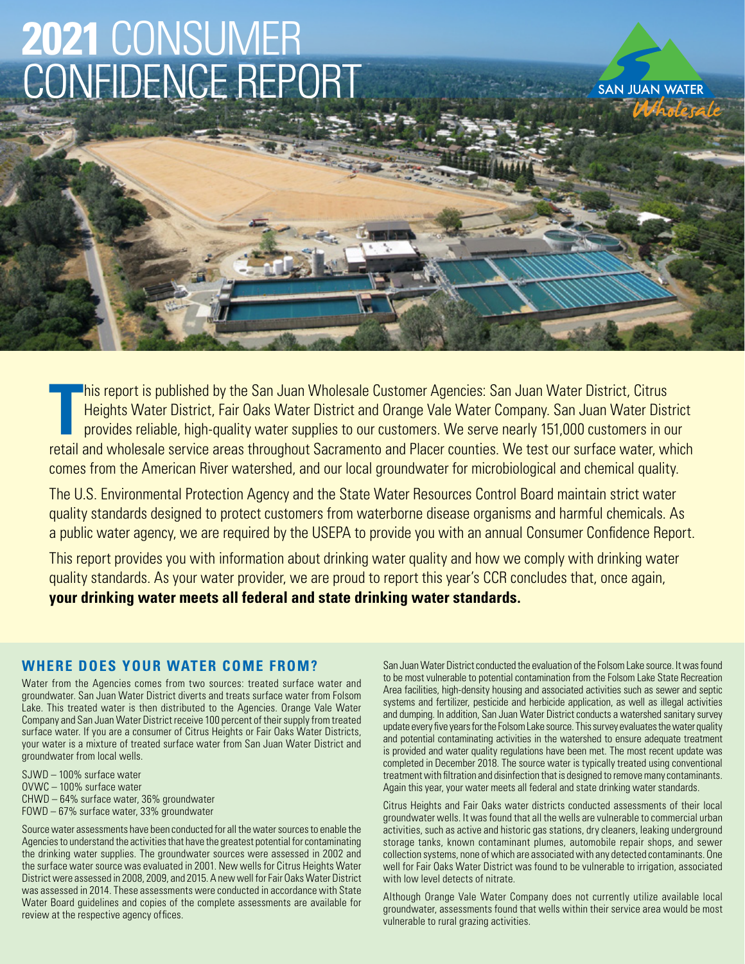# **2021** CONSUMER CONFIDENCE REPORT

**SAN JUAN WATER** 

TRET THIS report is published by the San Juan Wholesale Customer Agencies: San Juan Water District, Citrus<br>Heights Water District, Fair Oaks Water District and Orange Vale Water Company. San Juan Water District<br>provides re his report is published by the San Juan Wholesale Customer Agencies: San Juan Water District, Citrus Heights Water District, Fair Oaks Water District and Orange Vale Water Company. San Juan Water District provides reliable, high-quality water supplies to our customers. We serve nearly 151,000 customers in our comes from the American River watershed, and our local groundwater for microbiological and chemical quality.

The U.S. Environmental Protection Agency and the State Water Resources Control Board maintain strict water quality standards designed to protect customers from waterborne disease organisms and harmful chemicals. As a public water agency, we are required by the USEPA to provide you with an annual Consumer Confidence Report.

This report provides you with information about drinking water quality and how we comply with drinking water quality standards. As your water provider, we are proud to report this year's CCR concludes that, once again, **your drinking water meets all federal and state drinking water standards.**

## **WHERE DOES YOUR WATER COME FROM?**

Water from the Agencies comes from two sources: treated surface water and groundwater. San Juan Water District diverts and treats surface water from Folsom Lake. This treated water is then distributed to the Agencies. Orange Vale Water Company and San Juan Water District receive 100 percent of their supply from treated surface water. If you are a consumer of Citrus Heights or Fair Oaks Water Districts, your water is a mixture of treated surface water from San Juan Water District and groundwater from local wells.

SJWD – 100% surface water OVWC – 100% surface water CHWD – 64% surface water, 36% groundwater FOWD – 67% surface water, 33% groundwater

Source water assessments have been conducted for all the water sources to enable the Agencies to understand the activities that have the greatest potential for contaminating the drinking water supplies. The groundwater sources were assessed in 2002 and the surface water source was evaluated in 2001. New wells for Citrus Heights Water District were assessed in 2008, 2009, and 2015. A new well for Fair Oaks Water District was assessed in 2014. These assessments were conducted in accordance with State Water Board guidelines and copies of the complete assessments are available for review at the respective agency offices.

San Juan Water District conducted the evaluation of the Folsom Lake source. It was found to be most vulnerable to potential contamination from the Folsom Lake State Recreation Area facilities, high-density housing and associated activities such as sewer and septic systems and fertilizer, pesticide and herbicide application, as well as illegal activities and dumping. In addition, San Juan Water District conducts a watershed sanitary survey update every five years for the Folsom Lake source. This survey evaluates the water quality and potential contaminating activities in the watershed to ensure adequate treatment is provided and water quality regulations have been met. The most recent update was completed in December 2018. The source water is typically treated using conventional treatment with filtration and disinfection that is designed to remove many contaminants. Again this year, your water meets all federal and state drinking water standards.

Citrus Heights and Fair Oaks water districts conducted assessments of their local groundwater wells. It was found that all the wells are vulnerable to commercial urban activities, such as active and historic gas stations, dry cleaners, leaking underground storage tanks, known contaminant plumes, automobile repair shops, and sewer collection systems, none of which are associated with any detected contaminants. One well for Fair Oaks Water District was found to be vulnerable to irrigation, associated with low level detects of nitrate.

Although Orange Vale Water Company does not currently utilize available local groundwater, assessments found that wells within their service area would be most vulnerable to rural grazing activities.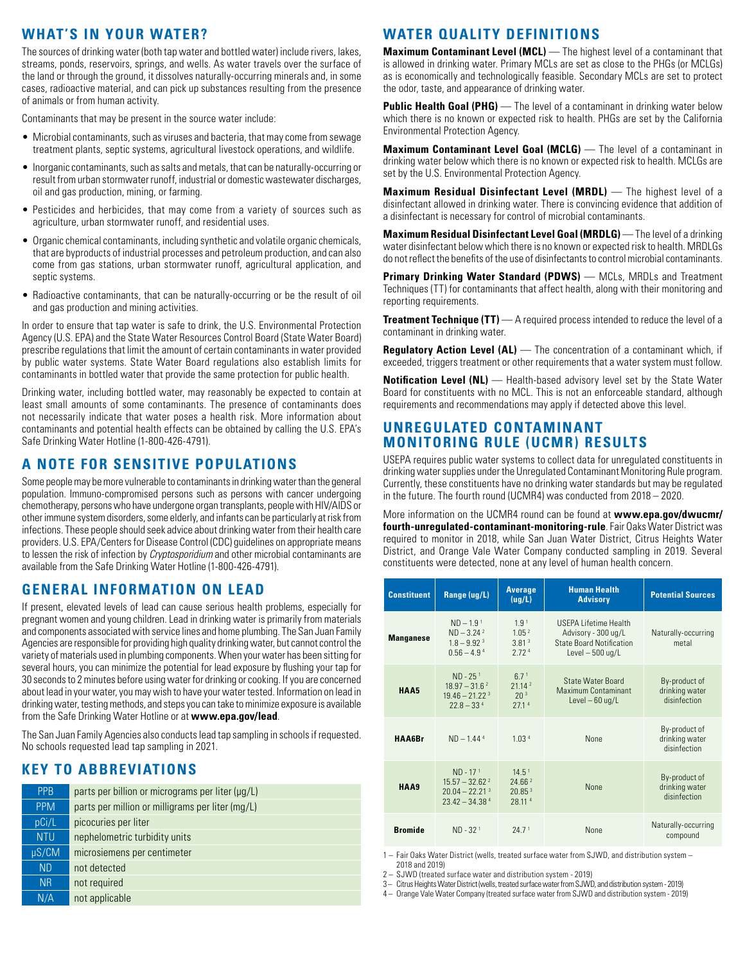## **WHAT'S IN YOUR WATER?**

The sources of drinking water (both tap water and bottled water) include rivers, lakes, streams, ponds, reservoirs, springs, and wells. As water travels over the surface of the land or through the ground, it dissolves naturally-occurring minerals and, in some cases, radioactive material, and can pick up substances resulting from the presence of animals or from human activity.

Contaminants that may be present in the source water include:

- Microbial contaminants, such as viruses and bacteria, that may come from sewage treatment plants, septic systems, agricultural livestock operations, and wildlife.
- Inorganic contaminants, such as salts and metals, that can be naturally-occurring or result from urban stormwater runoff, industrial or domestic wastewater discharges, oil and gas production, mining, or farming.
- Pesticides and herbicides, that may come from a variety of sources such as agriculture, urban stormwater runoff, and residential uses.
- Organic chemical contaminants, including synthetic and volatile organic chemicals, that are byproducts of industrial processes and petroleum production, and can also come from gas stations, urban stormwater runoff, agricultural application, and septic systems.
- Radioactive contaminants, that can be naturally-occurring or be the result of oil and gas production and mining activities.

In order to ensure that tap water is safe to drink, the U.S. Environmental Protection Agency (U.S. EPA) and the State Water Resources Control Board (State Water Board) prescribe regulations that limit the amount of certain contaminants in water provided by public water systems. State Water Board regulations also establish limits for contaminants in bottled water that provide the same protection for public health.

Drinking water, including bottled water, may reasonably be expected to contain at least small amounts of some contaminants. The presence of contaminants does not necessarily indicate that water poses a health risk. More information about contaminants and potential health effects can be obtained by calling the U.S. EPA's Safe Drinking Water Hotline (1-800-426-4791).

# **A NOTE FOR SENSITIVE POPULATIONS**

Some people may be more vulnerable to contaminants in drinking water than the general population. Immuno-compromised persons such as persons with cancer undergoing chemotherapy, persons who have undergone organ transplants, people with HIV/AIDS or other immune system disorders, some elderly, and infants can be particularly at risk from infections. These people should seek advice about drinking water from their health care providers. U.S. EPA/Centers for Disease Control (CDC) guidelines on appropriate means to lessen the risk of infection by *Cryptosporidium* and other microbial contaminants are available from the Safe Drinking Water Hotline (1-800-426-4791).

#### **GENERAL INFORMATION ON LEAD**

If present, elevated levels of lead can cause serious health problems, especially for pregnant women and young children. Lead in drinking water is primarily from materials and components associated with service lines and home plumbing. The San Juan Family Agencies are responsible for providing high quality drinking water, but cannot control the variety of materials used in plumbing components. When your water has been sitting for several hours, you can minimize the potential for lead exposure by flushing your tap for 30 seconds to 2 minutes before using water for drinking or cooking. If you are concerned about lead in your water, you may wish to have your water tested. Information on lead in drinking water, testing methods, and steps you can take to minimize exposure is available from the Safe Drinking Water Hotline or at **www.epa.gov/lead**.

The San Juan Family Agencies also conducts lead tap sampling in schools if requested. No schools requested lead tap sampling in 2021.

#### **KEY TO ABBREVIATIONS**

| <b>PPB</b> | parts per billion or micrograms per liter (µq/L) |
|------------|--------------------------------------------------|
| <b>PPM</b> | parts per million or milligrams per liter (mg/L) |
| pCi/L      | picocuries per liter                             |
| <b>NTU</b> | nephelometric turbidity units                    |
| $\mu$ S/CM | microsiemens per centimeter                      |
| <b>ND</b>  | not detected                                     |
| <b>NR</b>  | not required                                     |
| N/A        | not applicable                                   |

## **WATER QUALITY DEFINITIONS**

**Maximum Contaminant Level (MCL)** — The highest level of a contaminant that is allowed in drinking water. Primary MCLs are set as close to the PHGs (or MCLGs) as is economically and technologically feasible. Secondary MCLs are set to protect the odor, taste, and appearance of drinking water.

**Public Health Goal (PHG)** — The level of a contaminant in drinking water below which there is no known or expected risk to health. PHGs are set by the California Environmental Protection Agency.

**Maximum Contaminant Level Goal (MCLG)** — The level of a contaminant in drinking water below which there is no known or expected risk to health. MCLGs are set by the U.S. Environmental Protection Agency.

**Maximum Residual Disinfectant Level (MRDL)** — The highest level of a disinfectant allowed in drinking water. There is convincing evidence that addition of a disinfectant is necessary for control of microbial contaminants.

**Maximum Residual Disinfectant Level Goal (MRDLG)** — The level of a drinking water disinfectant below which there is no known or expected risk to health. MRDLGs do not reflect the benefits of the use of disinfectants to control microbial contaminants.

**Primary Drinking Water Standard (PDWS)** — MCLs, MRDLs and Treatment Techniques (TT) for contaminants that affect health, along with their monitoring and reporting requirements.

**Treatment Technique (TT)** — A required process intended to reduce the level of a contaminant in drinking water.

**Regulatory Action Level (AL)** — The concentration of a contaminant which, if exceeded, triggers treatment or other requirements that a water system must follow.

**Notification Level (NL)** — Health-based advisory level set by the State Water Board for constituents with no MCL. This is not an enforceable standard, although requirements and recommendations may apply if detected above this level.

#### **UNREGULATED CONTAMINANT MONITORING RULE (UCMR) RESULTS**

USEPA requires public water systems to collect data for unregulated constituents in drinking water supplies under the Unregulated Contaminant Monitoring Rule program. Currently, these constituents have no drinking water standards but may be regulated in the future. The fourth round (UCMR4) was conducted from 2018 – 2020.

More information on the UCMR4 round can be found at **www.epa.gov/dwucmr/ fourth-unregulated-contaminant-monitoring-rule**. Fair Oaks Water District was required to monitor in 2018, while San Juan Water District, Citrus Heights Water District, and Orange Vale Water Company conducted sampling in 2019. Several constituents were detected, none at any level of human health concern.

| <b>Constituent</b> | Range (ug/L)                                                                          | Average<br>(ug/L)                                                              | <b>Human Health</b><br><b>Advisory</b>                                                               | <b>Potential Sources</b>                        |  |  |
|--------------------|---------------------------------------------------------------------------------------|--------------------------------------------------------------------------------|------------------------------------------------------------------------------------------------------|-------------------------------------------------|--|--|
| <b>Manganese</b>   | $ND - 1.91$<br>$ND - 3.24$ <sup>2</sup><br>$1.8 - 9.92$ <sup>3</sup><br>$0.56 - 4.94$ | 1.9 <sup>1</sup><br>1.05 <sup>2</sup><br>3.81 <sup>3</sup><br>2.724            | USFPA Lifetime Health<br>Advisory - 300 ug/L<br><b>State Board Notification</b><br>Level $-500$ ug/L | Naturally-occurring<br>metal                    |  |  |
| HAA5               | $ND - 251$<br>$18.97 - 31.6^2$<br>$19.46 - 21.223$<br>$22.8 - 334$                    | 6.7 <sup>1</sup><br>21.14 <sup>2</sup><br>20 <sup>3</sup><br>27.1 <sup>4</sup> | <b>State Water Board</b><br><b>Maximum Contaminant</b><br>Level $-60$ ug/L                           | By-product of<br>drinking water<br>disinfection |  |  |
| <b>HAA6Br</b>      | $ND - 1444$                                                                           | 1.03 <sup>4</sup>                                                              | <b>None</b>                                                                                          | By-product of<br>drinking water<br>disinfection |  |  |
| <b>HAA9</b>        | $ND - 171$<br>$15.57 - 32.62^2$<br>$20.04 - 22.213$<br>$23.42 - 34.384$               | 14.5 <sup>1</sup><br>24.66 <sup>2</sup><br>20.85 <sup>3</sup><br>28.114        | <b>None</b>                                                                                          | By-product of<br>drinking water<br>disinfection |  |  |
| <b>Bromide</b>     | $ND - 321$                                                                            | 747 <sup>1</sup>                                                               | <b>None</b>                                                                                          | Naturally-occurring<br>compound                 |  |  |

1 – Fair Oaks Water District (wells, treated surface water from SJWD, and distribution system – 2018 and 2019)

2 – SJWD (treated surface water and distribution system - 2019)

3 – Citrus Heights Water District (wells, treated surface water from SJWD, and distribution system - 2019)

4 – Orange Vale Water Company (treated surface water from SJWD and distribution system - 2019)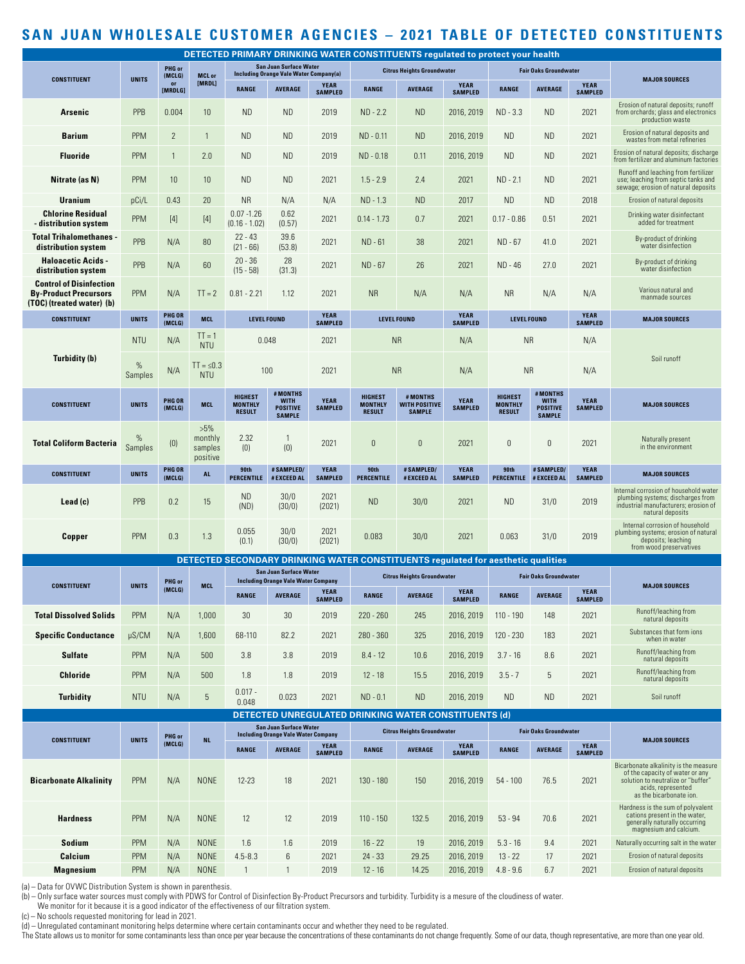# **SAN JUAN WHOLESALE CUSTOMER AGENCIES – 2021 TABLE OF DETECTED CONSTITUENTS**

| DETECTED PRIMARY DRINKING WATER CONSTITUENTS regulated to protect your health               |                 |                                   |                                          |                                                                                |                                                             |                               |                                                   |                                                                                  |                                                                             |                                                   |                                                             |                                   |                                                                                                                                        |                               |                              |  |  |  |
|---------------------------------------------------------------------------------------------|-----------------|-----------------------------------|------------------------------------------|--------------------------------------------------------------------------------|-------------------------------------------------------------|-------------------------------|---------------------------------------------------|----------------------------------------------------------------------------------|-----------------------------------------------------------------------------|---------------------------------------------------|-------------------------------------------------------------|-----------------------------------|----------------------------------------------------------------------------------------------------------------------------------------|-------------------------------|------------------------------|--|--|--|
|                                                                                             | <b>UNITS</b>    | PHG or<br>(MCLG)<br>or<br>[MRDLG] |                                          | <b>San Juan Surface Water</b><br><b>Including Orange Vale Water Company(a)</b> |                                                             |                               | <b>Citrus Heights Groundwater</b>                 |                                                                                  |                                                                             | <b>Fair Oaks Groundwater</b>                      |                                                             |                                   |                                                                                                                                        |                               |                              |  |  |  |
| <b>CONSTITUENT</b>                                                                          |                 |                                   | <b>MCL or</b><br>[MRDL]                  | <b>RANGE</b>                                                                   | <b>AVERAGE</b>                                              | <b>YEAR</b><br><b>SAMPLED</b> | <b>RANGE</b>                                      | <b>AVERAGE</b>                                                                   | <b>YEAR</b><br><b>SAMPLED</b>                                               | <b>RANGE</b>                                      | <b>AVERAGE</b>                                              | <b>YEAR</b><br><b>SAMPLED</b>     | <b>MAJOR SOURCES</b>                                                                                                                   |                               |                              |  |  |  |
| <b>Arsenic</b>                                                                              | PPB             | 0.004                             | 10                                       | <b>ND</b>                                                                      | ND.                                                         | 2019                          | $ND - 2.2$                                        | <b>ND</b>                                                                        | 2016, 2019                                                                  | $ND - 3.3$                                        | <b>ND</b>                                                   | 2021                              | Erosion of natural deposits; runoff<br>from orchards; glass and electronics<br>production waste                                        |                               |                              |  |  |  |
| <b>Barium</b>                                                                               | <b>PPM</b>      | $\overline{2}$                    | $\mathbf{1}$                             | <b>ND</b>                                                                      | <b>ND</b>                                                   | 2019                          | ND - 0.11                                         | <b>ND</b>                                                                        | 2016, 2019                                                                  | <b>ND</b>                                         | <b>ND</b>                                                   | 2021                              | Erosion of natural deposits and<br>wastes from metal refineries                                                                        |                               |                              |  |  |  |
| <b>Fluoride</b>                                                                             | <b>PPM</b>      | $\mathbf{1}$                      | 2.0                                      | <b>ND</b>                                                                      | ND.                                                         | 2019                          | ND - 0.18                                         | 0.11                                                                             | 2016, 2019                                                                  | <b>ND</b>                                         | <b>ND</b>                                                   | 2021                              | Erosion of natural deposits; discharge<br>from fertilizer and aluminum factories                                                       |                               |                              |  |  |  |
| Nitrate (as N)                                                                              | <b>PPM</b>      | 10                                | 10                                       | <b>ND</b>                                                                      | <b>ND</b>                                                   | 2021                          | $1.5 - 2.9$                                       | 2.4                                                                              | 2021                                                                        | $ND - 2.1$                                        | <b>ND</b>                                                   | 2021                              | Runoff and leaching from fertilizer<br>use; leaching from septic tanks and<br>sewage; erosion of natural deposits                      |                               |                              |  |  |  |
| <b>Uranium</b>                                                                              | pCi/L           | 0.43                              | 20                                       | <b>NR</b>                                                                      | N/A                                                         | N/A                           | $ND - 1.3$                                        | <b>ND</b>                                                                        | 2017                                                                        | <b>ND</b>                                         | <b>ND</b>                                                   | 2018                              | Erosion of natural deposits                                                                                                            |                               |                              |  |  |  |
| <b>Chlorine Residual</b><br>- distribution system                                           | <b>PPM</b>      | $[4]$                             | $[4]$                                    | $0.07 - 1.26$<br>$(0.16 - 1.02)$                                               | 0.62<br>(0.57)                                              | 2021                          | $0.14 - 1.73$                                     | 0.7                                                                              | 2021                                                                        | $0.17 - 0.86$                                     | 0.51                                                        | 2021                              | Drinking water disinfectant<br>added for treatment                                                                                     |                               |                              |  |  |  |
| <b>Total Trihalomethanes -</b><br>distribution system                                       | <b>PPB</b>      | N/A                               | 80                                       | $22 - 43$<br>$(21 - 66)$                                                       | 39.6<br>(53.8)                                              | 2021                          | ND - 61                                           | 38                                                                               | 2021                                                                        | ND - 67                                           | 41.0                                                        | 2021                              | By-product of drinking<br>water disinfection                                                                                           |                               |                              |  |  |  |
| <b>Haloacetic Acids -</b><br>distribution system                                            | <b>PPB</b>      | N/A                               | 60                                       | $20 - 36$<br>$(15 - 58)$                                                       | 28<br>(31.3)                                                | 2021                          | ND - 67                                           | 26                                                                               | 2021                                                                        | ND - 46                                           | 27.0                                                        | 2021                              | By-product of drinking<br>water disinfection                                                                                           |                               |                              |  |  |  |
| <b>Control of Disinfection</b><br><b>By-Product Precursors</b><br>(TOC) (treated water) (b) | <b>PPM</b>      | N/A                               | $TT = 2$                                 | $0.81 - 2.21$                                                                  | 1.12                                                        | 2021                          | <b>NR</b>                                         | N/A                                                                              | N/A                                                                         | <b>NR</b>                                         | N/A                                                         | N/A                               | Various natural and<br>manmade sources                                                                                                 |                               |                              |  |  |  |
| <b>CONSTITUENT</b>                                                                          | <b>UNITS</b>    | <b>PHG OR</b><br>(MCLG)           | <b>MCL</b>                               | <b>LEVEL FOUND</b>                                                             |                                                             | <b>YEAR</b><br><b>SAMPLED</b> | <b>LEVEL FOUND</b>                                |                                                                                  | <b>YEAR</b><br><b>SAMPLED</b>                                               | <b>LEVEL FOUND</b>                                |                                                             | <b>YEAR</b><br><b>SAMPLED</b>     | <b>MAJOR SOURCES</b>                                                                                                                   |                               |                              |  |  |  |
|                                                                                             | <b>NTU</b>      | N/A                               | $TT = 1$<br><b>NTU</b>                   |                                                                                | 0.048                                                       | 2021                          |                                                   | <b>NR</b>                                                                        | N/A                                                                         | <b>NR</b>                                         |                                                             | N/A                               |                                                                                                                                        |                               |                              |  |  |  |
| Turbidity (b)                                                                               | $\%$<br>Samples | N/A                               | $TT = \leq 0.3$<br><b>NTU</b>            |                                                                                | 100                                                         | 2021                          |                                                   | <b>NR</b>                                                                        | N/A                                                                         | <b>NR</b>                                         |                                                             | N/A                               | Soil runoff                                                                                                                            |                               |                              |  |  |  |
| <b>CONSTITUENT</b>                                                                          | <b>UNITS</b>    | PHG OR<br>(MCLG)                  | <b>MCL</b>                               | <b>HIGHEST</b><br><b>MONTHLY</b><br><b>RESULT</b>                              | # MONTHS<br><b>WITH</b><br><b>POSITIVE</b><br><b>SAMPLE</b> | <b>YEAR</b><br><b>SAMPLED</b> | <b>HIGHEST</b><br><b>MONTHLY</b><br><b>RESULT</b> | # MONTHS<br><b>WITH POSITIVE</b><br><b>SAMPLE</b>                                | <b>YEAR</b><br><b>SAMPLED</b>                                               | <b>HIGHEST</b><br><b>MONTHLY</b><br><b>RESULT</b> | # MONTHS<br><b>WITH</b><br><b>POSITIVE</b><br><b>SAMPLE</b> | <b>YEAR</b><br><b>SAMPLED</b>     | <b>MAJOR SOURCES</b>                                                                                                                   |                               |                              |  |  |  |
| <b>Total Coliform Bacteria</b>                                                              | %<br>Samples    | (0)                               | $>5\%$<br>monthly<br>samples<br>positive | 2.32<br>(0)                                                                    | 1<br>(0)                                                    | 2021                          | $\theta$                                          | 0                                                                                | 2021                                                                        | $\theta$                                          | 0                                                           | 2021                              | Naturally present<br>in the environment                                                                                                |                               |                              |  |  |  |
| <b>CONSTITUENT</b>                                                                          | <b>UNITS</b>    | <b>PHG OR</b><br>(MCLG)           | <b>AL</b>                                | 90th<br><b>PERCENTILE</b>                                                      | #SAMPLED/<br>#EXCEED AL                                     | <b>YEAR</b><br><b>SAMPLED</b> | 90th<br><b>PERCENTILE</b>                         | #SAMPLED/<br>#EXCEED AL                                                          | <b>YEAR</b><br><b>SAMPLED</b>                                               | 90th                                              | #SAMPLED/<br>PERCENTILE # EXCEED AL                         | <b>YEAR</b><br><b>SAMPLED</b>     | <b>MAJOR SOURCES</b>                                                                                                                   |                               |                              |  |  |  |
| $\textsf{lead}(\textsf{c})$                                                                 | <b>PPB</b>      | 0.2                               | 15                                       | <b>ND</b><br>(ND)                                                              | 30/0<br>(30/0)                                              | 2021<br>(2021)                | <b>ND</b>                                         | 30/0                                                                             | 2021                                                                        | <b>ND</b>                                         | 31/0                                                        | 2019                              | Internal corrosion of household water<br>plumbing systems; discharges from<br>industrial manufacturers; erosion of<br>natural deposits |                               |                              |  |  |  |
| Copper                                                                                      | <b>PPM</b>      | 0.3                               | 1.3                                      | 0.055<br>(0.1)                                                                 | 30/0<br>(30/0)                                              | 2021<br>(2021)                | 0.083                                             | 30/0                                                                             | 2021                                                                        | 0.063                                             | 31/0                                                        | 2019                              | Internal corrosion of household<br>plumbing systems; erosion of natural<br>deposits; leaching<br>from wood preservatives               |                               |                              |  |  |  |
|                                                                                             |                 |                                   |                                          |                                                                                |                                                             |                               |                                                   | DETECTED SECONDARY DRINKING WATER CONSTITUENTS regulated for aesthetic qualities |                                                                             |                                                   |                                                             |                                   |                                                                                                                                        |                               |                              |  |  |  |
|                                                                                             |                 | PHG or<br><b>UNITS</b><br>(MCLG)  |                                          |                                                                                |                                                             |                               |                                                   |                                                                                  | <b>San Juan Surface Water</b><br><b>Including Orange Vale Water Company</b> |                                                   |                                                             | <b>Citrus Heights Groundwater</b> |                                                                                                                                        |                               | <b>Fair Oaks Groundwater</b> |  |  |  |
| <b>CONSTITUENT</b>                                                                          |                 |                                   |                                          |                                                                                | <b>MCL</b>                                                  | <b>RANGE</b>                  | <b>AVERAGE</b>                                    | <b>YEAR</b><br><b>SAMPLED</b>                                                    | <b>RANGE</b>                                                                | <b>AVERAGE</b>                                    | <b>YEAR</b><br><b>SAMPLED</b>                               | <b>RANGE</b>                      | <b>AVERAGE</b>                                                                                                                         | <b>YEAR</b><br><b>SAMPLED</b> | <b>MAJOR SOURCES</b>         |  |  |  |
| <b>Total Dissolved Solids</b>                                                               | <b>PPM</b>      | N/A                               | 1,000                                    | 30                                                                             | 30                                                          | 2019                          | $220 - 260$                                       | 245                                                                              | 2016, 2019                                                                  | $110 - 190$                                       | 148                                                         | 2021                              | Runoff/leaching from<br>natural deposits                                                                                               |                               |                              |  |  |  |
| <b>Specific Conductance</b>                                                                 | µS/CM           | N/A                               | 1,600                                    | 68-110                                                                         | 82.2                                                        | 2021                          | $280 - 360$                                       | 325                                                                              | 2016, 2019                                                                  | $120 - 230$                                       | 183                                                         | 2021                              | Substances that form ions<br>when in water                                                                                             |                               |                              |  |  |  |
| <b>Sulfate</b>                                                                              | <b>PPM</b>      | N/A                               | 500                                      | 3.8                                                                            | 3.8                                                         | 2019                          | $8.4 - 12$                                        | 10.6                                                                             | 2016, 2019                                                                  | $3.7 - 16$                                        | 8.6                                                         | 2021                              | Runoff/leaching from<br>natural deposits                                                                                               |                               |                              |  |  |  |
| <b>Chloride</b>                                                                             | <b>PPM</b>      | N/A                               | 500                                      | 1.8                                                                            | 1.8                                                         | 2019                          | $12 - 18$                                         | 15.5                                                                             | 2016, 2019                                                                  | $3.5 - 7$                                         | 5                                                           | 2021                              | Runoff/leaching from<br>natural deposits                                                                                               |                               |                              |  |  |  |
| <b>Turbidity</b>                                                                            | <b>NTU</b>      | N/A                               | 5                                        | $0.017 -$<br>0.048                                                             | 0.023                                                       | 2021                          | $ND - 0.1$                                        | <b>ND</b>                                                                        | 2016, 2019                                                                  | <b>ND</b>                                         | <b>ND</b>                                                   | 2021                              | Soil runoff                                                                                                                            |                               |                              |  |  |  |
| <b>DETECTED UNREGULATED DRINKING WATER CONSTITUENTS (d)</b>                                 |                 |                                   |                                          |                                                                                |                                                             |                               |                                                   |                                                                                  |                                                                             |                                                   |                                                             |                                   |                                                                                                                                        |                               |                              |  |  |  |
|                                                                                             |                 | PHG or<br>(MCLG)                  | <b>NL</b>                                | San Juan Surface Water<br><b>Including Orange Vale Water Company</b>           |                                                             |                               | <b>Citrus Heights Groundwater</b>                 |                                                                                  |                                                                             | <b>Fair Oaks Groundwater</b>                      |                                                             |                                   |                                                                                                                                        |                               |                              |  |  |  |
| <b>CONSTITUENT</b>                                                                          | <b>UNITS</b>    |                                   |                                          | <b>RANGE</b>                                                                   | <b>AVERAGE</b>                                              | <b>YEAR</b><br><b>SAMPLED</b> | <b>RANGE</b>                                      | <b>AVERAGE</b>                                                                   | <b>YEAR</b><br><b>SAMPLED</b>                                               | <b>RANGE</b>                                      | <b>AVERAGE</b>                                              | <b>YEAR</b><br><b>SAMPLED</b>     | <b>MAJOR SOURCES</b>                                                                                                                   |                               |                              |  |  |  |
| <b>Bicarbonate Alkalinity</b>                                                               | <b>PPM</b>      | N/A                               | <b>NONE</b>                              | 12-23                                                                          | 18                                                          | 2021                          | $130 - 180$                                       | 150                                                                              | 2016, 2019                                                                  | $54 - 100$                                        | 76.5                                                        | 2021                              | Bicarbonate alkalinity is the measure<br>of the capacity of water or any<br>solution to neutralize or "buffer"                         |                               |                              |  |  |  |

|                  | .          | .   |             |             |     |      |             |       |            |             |      |      | acids, represented<br>as the bicarbonate ion.                                                                                 |
|------------------|------------|-----|-------------|-------------|-----|------|-------------|-------|------------|-------------|------|------|-------------------------------------------------------------------------------------------------------------------------------|
| <b>Hardness</b>  | <b>PPM</b> | N/A | <b>NONE</b> | 12          | 12  | 2019 | $110 - 150$ | 132.5 | 2016, 2019 | $53 - 94$   | 70.6 | 2021 | Hardness is the sum of polyvalent<br>cations present in the water.<br>generally naturally occurring<br>magnesium and calcium. |
| <b>Sodium</b>    | PPM        | N/A | <b>NONE</b> | 1.6         | 1.6 | 2019 | $16 - 22$   | 19    | 2016, 2019 | $5.3 - 16$  | 9.4  | 2021 | Naturally occurring salt in the water                                                                                         |
| <b>Calcium</b>   | PPM        | N/A | <b>NONE</b> | $4.5 - 8.3$ | h.  | 2021 | $24 - 33$   | 29.25 | 2016, 2019 | $13 - 22$   | 17   | 2021 | Erosion of natural deposits                                                                                                   |
| <b>Magnesium</b> | <b>PPM</b> | N/A | <b>NONE</b> |             |     | 2019 | $12 - 16$   | 14.25 | 2016, 2019 | $4.8 - 9.6$ | 6.7  | 2021 | Erosion of natural deposits                                                                                                   |

(a) – Data for OVWC Distribution System is shown in parenthesis.

(b) – Only surface water sources must comply with PDWS for Control of Disinfection By-Product Precursors and turbidity. Turbidity is a mesure of the cloudiness of water.

We monitor for it because it is a good indicator of the effectiveness of our filtration system.

(c) – No schools requested monitoring for lead in 2021.

(d) – Unregulated contaminant monitoring helps determine where certain contaminants occur and whether they need to be regulated.

The State allows us to monitor for some contaminants less than once per year because the concentrations of these contaminants do not change frequently. Some of our data, though representative, are more than one year old.